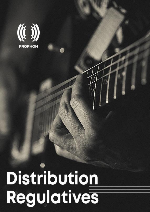

# Distribution Regulatives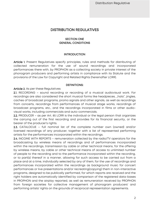# DISTRIBUTION REGULATIVES

#### SECTION ONE GENERAL CONDITIONS

#### INTRODUCTION

Article 1. Present Regulatives specify principles, rules and methods for distributing of collected remuneration for the use of sound recordings and incorporated performances there with, by PROPHON as a collecting society in private interest of the phonogram producers and performing artists in compliance with its Statute and the provisions of the Law for Copyright and Related Rights (hereinafter LCRR).

#### DEFINITIONS:

#### Article 2. As per these Regulatives:

2.1. RECORDING – sound recording or recording of a musical audiovisual work. For recordings are also considered the short musical forms like headpieces, "hats", jingles, caches of broadcast programs, promo signals and other signals, as well as recordings from concerts, recordings from performances of musical stage works, recordings of broadcast programs, etc., and the recordings incorporated in films or other audiovisual works, including commercials and auto-commercials.

2.2. PRODUCER – as per Art. 85 LCRR is the individual or the legal person that organizes the carrying out of the first recording and provides for its financial security, or the bearer of the producer's rights.

2.3. CATALOCUE – full nominal list of the complete number own (owned) and/or licensed recordings of any producer, together with a list of represented performing artists for the performances incorporated within the recordings.

2.4. INCOME WITH REPORTS – remuneration collected by the radio/TV operators for the broadcasting by wireless means of recordings and of performances incorporated within the recordings, transmission by cable or other technical means, for the offering by wireless means, by cable or other technical means of access to unlimited number of people to the recording and to the performance incorporated within the recording, or to part(s) thereof in a manner, allowing for such access to be carried out from a place and at a time, individually selected by any of them, for the use of recordings and performances incorporated within the recordings as background music for concert performances or live presentations and/or recreating(copying) them in non-interactive programs, designed to be publically performed, for which reports are received and the right holders are automatically identified by comparison of the registered data-bases in PROPHON and the airplay reported, as well as remuneration received by PROPHON from foreign societies for collective management of phonogram producers' and performing artists' rights on the grounds of reciprocal representation agreements.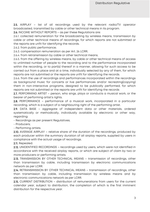2.5. AIRPLAY – list of all recordings used by the relevant radio/TV operator broadcasted, transmitted by cable or other technical means in its program.

2.6. INCOME WITHOUT REPORTS – as per these Regulations are:

2.6.1. collected remuneration for the broadcasting by wireless means, transmission by cable or other technical means of recordings, for which reports are not submitted or the reports are unfit for identifying the records.

2.6.2. from public performance;

2.6.3. compensation remuneration as per Art. 26 LCRR;

2.6.4. from retransmission by cable or other technical means;

2.6.5. from the offering by wireless means, by cable or other technical means of access to unlimited number of people to the recording and to the performance incorporated within the recording, or to part(s) thereof in a manner, allowing for such access to be carried out from a place and at a time, individually selected by any of them, for which reports are not submitted or the reports are unfit for identifying the records.

2.6.6. from the use of recordings and performances incorporated within the recordings as background music for concerts or live performances and/or recreating(copying) them in non-interactive programs, designed to be publically performed, for which reports are not submitted or the reports are unfit for identifying the records

2.7. PERFORMING ARTIST – person, who sings, plays or conducts a musical work, or the bearer of performing artist's rights.

2.8. PERFORMANCE – performance of a musical work, incorporated in a particular recording, which is a subject of a neighbouring right of the performing artist.

2.9. DATA BASE – aggregate of independent data or other materials, ordered systematically or methodically, individually available by electronic or other way, regarding:

- Recordings as per present Regulatives;

- Producers;

- Performing artists.

2.10. AVERAGE AIRPLAY – relative share of the duration of the recordings, produced by each producer within the summary duration of all airplay reports, supplied by users in compliance with the actual usage of recordings.

2.11. Repealed.

2.12. UNIDENTIFIED RECORDINGS – recordings used by users, which were not identified in accordance with the received airplay reports, or which are subject of claim by two or more producers or performing artists.

2.13. TRANSMISSION BY OTHER TECHNICAL MEANS – transmission of recordings, other than transmission by cable, including transmission by electronic communications network as per LCRR.

2.14. RETRANSMISSION BY OTHER TECHNICAL MEANS – transmission of recordings, other than transmission by cable, including transmission by wireless means and by electronic communications network as per LCRR.

2.15. CURRENT DISTRIBUTION – distribution of remunerations from users for the current calendar year, subject to distribution, the completion of which is the first imminent distribution for the respective year.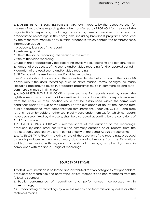2.16. USERS' REPORTS SUITABLE FOR DISTRIBUTION – reports by the respective user for the use of recordings regarding the rights transferred by PROPHON for the use of the organization's repertoire, including reports by media services providers for broadcasted recordings in their programs, including broadcast programs, produced by the respective medium or by outside producers, which contain the comprehensive information about:

1. producers/licensee of the record

2. performing artist

3. title of the sound recording, the version or the remix

4. title of the video recording

5. type of the broadcasted video recording: music video, recording of a concert, recital

6. number of broadcasts of the sound and/or video recording for the reported period

7. duration of the used sound and/or video recording

8. ISRC-code of the used sound and/or video recording.

Users' reports should also contain the respective detailed information on the points 1-8 above about the used recordings such as short musical forms, background music (including background music in broadcast programs), music in commercials and autocommercials, music in films, etc.

2.17. NON-DISTRIBUTABLE INCOME - remunerations for records used by users, the rightholders of which could not be identified in accordance with the reports received from the users, or their location could not be established within the terms and conditions under Art. 44b of the Statute. For the avoidance of doubt, the income from public performance, from compensation remunerations under Art. 26 LCRR and from retransmission by cable or other technical means under item 2.6, for which no reports have been submitted by the users, shall be distributed according by the conditions of Art. 9.2. and so on;

2.18. AVERAGE RADIO AIRPLAY – relative share of the duration of the recordings, produced by each producer within the summary duration of all reports from the radiostations, supplied by users in compliance with the actual usage of recordings.

2.19. AVERAGE TV AIRPLAY – relative share of the duration of the recordings, produced by each producer within the summary duration of all reports from the TV stations (public, commercial, with regional and national coverage) supplied by users in compliance with the actual usage of recordings.

## SOURCES OF INCOME

Article 3. Remuneration is collected and distributed for two categories of right holders: producers of recordings and performing artists (members and non-members) from the following sources:

3.1. Public performance of recordings and performances incorporated within recordings;

3.2. Broadcasting of recordings by wireless means and transmission by cable or other technical means;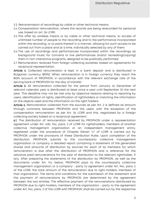- 3.3. Retransmission of recordings by cable or other technical means;
- 3.4.Compensation remuneration, where the records are being rerecorded for personal use, based on art. 26 LCRR;
- 3.5. The offer by wireless means or by cable or other technical means, to access of unlimited number of people to the recording and to the performance incorporated within the recording, or to parts thereof in a manner, allowing for such access to be carried out from a place and at a time, individually selected by any of them;
- 3.6.The use of recordings and performances incorporated within the recordings as background music for concerts or live performances and/or recreating(copying) them in non-interactive programs, designed to be publically performed,
- 3.7. Remuneration received from foreign collecting societies, based on agreements for reciprocal representation.

Article 4. Collected remuneration is kept in a bank deposit and is distributed in Bulgarian currency (BGN). When remuneration is in foreign currency they reach the BGN account of PROPHON, in accordance with the relevant exchange rate of the serving bank of PROPHON for the day of transfer.

Article 5. All remuneration collected for the period from January to December of relevant calendar year is distributed at least once a year until September 30 the next year. This deadline may not be met only by objective reasons relating to reporting by users, identification of rights, identification of rightholders or matching the information on the objects used and the information on the right holders.

Article 6. Remuneration collected from the sources as per Art. 2 is defined as amount through contracts between PROPHON and the users, with the exception of the compensation remuneration as per Art. 26 LCRR and this, negotiated by a foreign collecting society based on a reciprocal agreement.

6.1. The distribution of remuneration received by PROPHON under a representation agreement under Art. 40b, 94c, para. 2 of LCRR for rightsholders, members of another collective management organization or an independent management entity, registered under the procedure of Chapter Eleven "c" of LCRR is carried out by PROPHON under the provisions of these Distribution Rules. Upon completion of the distribution, PROPHON submits to the counterparty collective management organization or company a detailed report containing a statement of the generated shares and amounts of distribution by sources for each of its members for which remuneration is due after the distribution of PROPHON and a reference for the advance paid remunerations for the year of distribution to the relevant rightholder, if any. After preparing the statements of the distribution by PROPHON, as well as the documents under Art. 9.6. below, PROPHON pays to the counterparty collective management organization or a company - party to agreement under Art. 94c, para. 2 of the LCRR, the total amount of the remuneration due to right-holders, members of that organization. The terms and conditions for the submission of the statement and the payment of remunerations by PROPHON are determined by the agreement between the two entities. The effective payment of the remunerations distributed by PROPHON due to right-holders, members of the organization - party to the agreement under Art. 94c, para. 2 of the LCRR with PROPHON, shall be carried out by the respective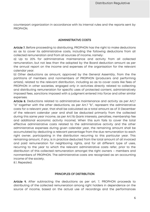counterpart organization in accordance with its internal rules and the reports sent by PROPHON.

#### ADMINISTRATIVE COSTS

Article 7. Before proceeding to distributing, PROPHON has the right to make deductions so as to cover its administrative costs, including the following deductions from all collected remuneration and from all sources of income, namely:

a) Up to 20% for administrative maintenance and activity from all collected remuneration, but not less than the adopted by the Board deduction amount as per the annual report on the income and expenses of the organisation for the relevant calendar year.

b) Other deductions as amount, approved by the General Assembly, from the the partitions of members and nonmembers of PROPHON (producers and performing artists), related to the relevant distribution, including so as to cover costs like fees of PROPHON in other societies, engaged only in activities directly related to collecting and distributing remuneration for specific uses of protected content, administratively imposed fees, sanctions imposed with a judgment entered into force and other similar expenses.

Article 8. Deductions related to administrative maintenance and activity as per Art,7 "a" together with the other deductions, as per Art.7 "b", represent the administrative costs for a relevant year, that shall be calculated as a total amount as of 31 December of the relevant calendar year and shall be deducted primarily from the collected during this same year income, as per Art.11b (bank interests, penalties, membership fee and additional economic activity income). When this sum fails to cover the total effective administrative costs related to the administrative activity and the other administrative expenses during given calendar year, the remaining amount shall be accumulated by deducting a relevant percentage from the due remuneration to each right owner, participating in the distribution recurring to this particular year. This remaining amount, if any, is in practice deducted from the total amount of all invoiced and paid remuneration for neighboring rights, and for all different type of uses, recurring to the year to which the relevant administrative costs refer, prior to the distribution of this collected remuneration amongst the right owners – members and nonmembers of PROPHON. The administrative costs are recognized as an accounting income of the society.

8.1. Repealed.

#### PRINCIPLES OF DISTRIBUTION

Article 9. After subtracting the deductions as per art. 7, PROPHON proceeds to distributing of the collected remuneration among right holders in dependence on the source of income, based on the actual use of recordings and the performances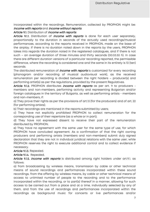incorporated within the recordings. Remuneration, collected by PROPHON might be: income with reports and income without reports.

#### Article 9.1. Distribution of *income with reports*:

Article 9.1.1. Distribution of *income with reports* is done for each user separately, proportionally to the duration in seconds of the actually used recordings/musical performances, according to the reports received in PROPHON, made on the base of the airplay. If there is no duration noted down in the reports by the users, PROPHON takes into regards the duration noted in the registered catalogues, and if there is not such – an average duration of three minutes and thirty seconds (00:03:30 h). In case there are different duration versions of a particular recording reported, the permissible difference, where the recording is considered one and the same in its entirety is 10 (ten) seconds.

The distributed remuneration of *income with reports* is customized for every recording (phonogram and/or recording of musical audiovisual work), as the received remuneration per recording is divided between the right holders – producer(s) and performing artist(s) as per the regulations, provided by the present Regulatives.

Article 9.1.2. PROPHON distributes *income with reports* as per art. 9 to producers members and non-members, performing activity and representing Bulgarian and/or foreign catalogues in the territory of Bulgaria, as well as performing artists - members and non-members, if:

a) They prove their rights as per the provisions of art.13 (for the producers) and of art. 22 (for performing artists);

b) Their recordings are mentioned in the reports submitted by users;

c) They have not explicitly prohibited PROPHON to collect remuneration for the corresponding use of their repertoire (as a whole or in part);

d) They have not expressed dissent to receive their part of the remuneration distributed by PROPHON;

e) They have no agreement with the same user for the same type of use, for which PROPHON have concluded agreement. As a confirmation of that the right owning producers and performing artists (members and non-members) submit duly signed declaration that they are not in individual juridical relations with the same user, while PROPHON reserves the right to execute additional control and to collect evidence if necessary.

Article 9.1.3. Repealed.

Article 9.1.4. Repealed.

Article 9.1.5. *income with reports* is distributed among right holders under art.9.1. as follows:

a) from broadcasting by wireless means, transmission by cable or other technical means of sound recordings and performances incorporated within these sound recordings, from the offering by wireless means, by cable or other technical means of access to unlimited number of people to the recording and to the performance incorporated within the recording, or to part(s) thereof in a manner, allowing for such access to be carried out from a place and at a time, individually selected by any of them, and from the use of recordings and performances incorporated within the recordings as background music for concerts or live performances and/or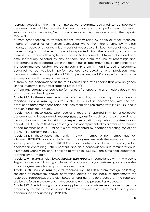recreating(copying) them in non-interactive programs, designed to be publically performed, are divided equally between producer(s) and performer(s) for each separate sound recording/performance reported in compliance with the reports received

b) from broadcasting by wireless means, transmission by cable or other technical means of recordings of musical audiovisual works, from the offering by wireless means, by cable or other technical means of access to unlimited number of people to the recording and to the performance incorporated within the recording, or to part(s) thereof in a manner, allowing for such access to be carried out from a place and at a time, individually selected by any of them, and from the use of recordings and performances incorporated within the recordings as background music for concerts or live performances and/or recreating(copying) them in non-interactive programs, designed to be publically performed, are distributed among producers and performing artists in a proportion of 75% for producer(s) and 25% for performing artist(s) in compliance with the reports received.

c) from public performance at the retail venues and retail chains that provide goods (shops, supermarkets, petrol stations, stalls, etc);

d) from any category of public performance of phonograms and music videos when users have submitted reports.

Article 9.1.6. In these cases, when use of a recording produced by co-producers is reported, *income with reports* for such use is split in accordance with the coproduction agreement concluded between them and registered with PROPHON, and if no such is present - equally.

Article 9.1.7. In these cases when use of a record is reported in which a collective performance is incorporated, *income with reports* for such use is distributed to a person, duly authorized in writing by respective artistic group, who authorizes use as per art. 79 LCRR, save that this artistic group is not represented by a producer-member or non-member of PROPHON or it is not represented by another collecting society of the rights of performing artists.

Article 9.1.8. In these cases when a right holder - member or non-member has not informed PROPHON for a concluded separate agreement with the same user for the same type of use, for which PROPHON has a contract concluded or has signed a declaration containing untrue content, and as a consequence due remuneration is distributed wrongly, he (she) is obliged to return to PROPHON the sums paid, altogether with the lawful interest.

Article 9.1.9. PROPHON distributes *income with reports* in compliance with the present Regulatives to neighbouring societies of producers and/or performing artists on the basis of agreements for reciprocal representation.

Article 9.1.10. *Income with reports* received by PROPHON from foreign collecting societies of producers and/or performing artists on the basis of agreements for reciprocal representation, is distributed among right holders based on the reported use by the foreign society and in accordance with the present Regulatives.

Article 9.1.11. The following criteria are applied to users, whose reports are subject to processing for the purpose of distribution of income from users-media and public performance conducted by PROPHON: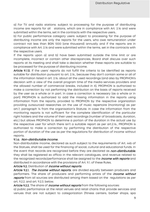а) For TV and radio stations: subject to processing for the purpose of distributing income are reports for all stations, which are in compliance with Art. 2.16 and were submitted within the terms, set in the contracts with the respective users..

b) For public performance category users: subject to processing for the purpose of distributing income are only the reports for the users, who owe remuneration under contract not less than BGN 1000 (one thousand) annually and if the reports are in compliance with Art. 2.16 and were submitted within the terms, set in the contracts with the respective users.

If the reports upon a) and b) have been submitted outside the time limit or are incomplete, incorrect or contain other discrepancies, Board shall discuss over such reports at its meeting and shall take a decision whether these reports are suitable to be processed for the purpose of distributing income.

Article 9.1.12. If the users' reports do not fulfill the criteria to be identified as reports suitable for distribution pursuant to art. 2.16., because they don't contain some or all of the information listed in art. 2.16. about all the used recordings (and also by PROPHON's decision with a view of the overall program time of the media services providers and the allowed number of commercial breaks, included in it), PROPHON is authorized to make a correction by not performing the distribution on the basis of reports received by the user as a whole or in part. In case a correction is necessary (as a whole or in part) PROPHON is authorized to add the missing information in the reports using information from the reports, provided to PROPHON by the respective organization providing outsourced researches on the use of music repertoire (monitoring) as per art.7, paragraph 14 from the organisation's Statute. In case the information from the monitoring reports is not sufficient for the complete identification of the particular right holders and the volume of their used recordings (number of broadcasts, duration, etc.) but allows PROPHON to determine a portion of the duration in the actual use by the respective user for which there isn't a suitable report as per art.2.16., PROPHON is authorized to make a correction by performing the distribution of the respective portion of duration of the use as per the regulations for distribution of income without reports.

#### 9.1.a. Non-distributable income.

Non-distributable income, declared as such subject to the requirements of Art. 44b of the Statues, shall be used for the financing of social, cultural and educational funds. In the event that records are recognized before they are declared as *non-distributable*, they shall be registered ex officio in the relevant catalogues, and revenue related to the recognized records/performance shall be assigned to the *income with reports* and distributed in accordance with the provisions of Art. 9.1. of these Rules.

#### Article 9.2. Distribution of *income without reports*.

Article 9.2.1. The income without reports, are divided equally between producers and performers. The share of producers and performing artists of the *income without* reports from all sources are distributed among them based on the regulations as per art, 9.2.2. and art. 9.2.3. below.

Article 9.2.2. The share of *income without reports* from the following sources:

a) public performance at the retail venues and retail chains that provide services and venues that are not subject to categorization (fitness centers, barber shops, spa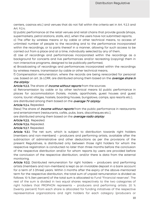centers, casinos etc.) and venues that do not fall within the criteria set in Art. 9.2.3 and Art. 9.2.4;

b) public performance at the retail venues and retail chains that provide goods (shops, supermarkets, petrol stations, stalls, etc), when the users have not submitted reports;

c) The offer by wireless means or by cable or other technical means, to access of unlimited number of people to the recording and to the performance incorporated within the recordings, or to parts thereof in a manner, allowing for such access to be carried out from a place and at a time, individually selected by any of them,

d) Use of recordings and performances incorporated within the recordings as a background for concerts and live performances and/or recreating (copying) them in non-interactive programs, designed to be publically performed,

e) Broadcasting of recordings and performances incorporated within the recordings by wireless means, transmission by cable or other technical means,

f) Compensation remuneration, where the records are being rerecorded for personal use, based on art. 26 LCRR, are distributed among them based on the *average share in* the airplay.

Article 9.2.3. The share of *income without reports* from the sources:

a) Retransmission by cable or by other technical means b) public performance in places for accommodation (hotels, motels, aparthotels, guest houses and guest rooms, tourist villages, hostels, boarding houses, bungalows, camps, spa resorts etc.),

are distributed among them based on the average TV airplay.

Article 9.2.4. Repealed.

(New) The share of *income without reports* from the public performance in restaurants and entertainment (restaurants, cafés, pubs, bars, discotheques etc.),

are distributed among them based on the average radio airplay.

Article 9.2.5. Repealed.

Article 9.2.6. Repealed.

Article 9.2.7. Repealed.

Article 9.3.1. The net sum, which is subject to distribution towards right holders (members and non-members) – producers and performing artists, available after the subtraction of administrative and other deductions as per the provisions of the present Regulatives, is distributed only between those right holders for whom the respective registration is conducted no later than three months before the conclusion of the respective distribution and/or for whom reports by users are provided before the conclusion of the respective distribution, and/or there is data from the external monitoring.

Article 9.3.2. Distributed remuneration for right holders – producers and performing artists (members and non-members) is kept as an inviolable deposit in a bank account for a term of 3 (three) years. Within 3 months after the expiry of the above-mentioned term for the respective distribution, the total sum of unpaid remuneration is divided as follows: 10 % (ten percent) of the total sum is allocated to Fund "Financial reserves". The rest of the sum is divided in two equal shares respectively to the two categories of right holders that PROPHON represents – producers and performing artists. 20 % (twenty percent) from each share is allocated for funding initiatives of the respective representative organizations and right holders for each category (producers or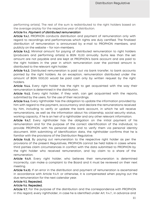performing artists). The rest of the sum is redistributed to the right holders based on the average airplay for the respective year of distribution.

#### Article 9.4. Payment of distributed remuneration

Article 9.4.1. PROPHON conducts distribution and payment of remuneration only with regard to recordings and performances which rights are duly certified. The finalized distribution of remuneration is announced by e-mail to PROPHON members, and publicly on the website – for non-members.

Article 9.4.2. Minimal amount for paying of distributed remuneration to right holders (producers and performing artists) is BGN 10,00 annually. Sums less than the set amount are not payable and are kept at PROPHON's bank account and are paid to the right holders in the year in which remuneration over the pointed amount is distributed to the relevant right holder.

Article 9.4.3. Distributed remuneration is paid out via bank transfer, to bank accounts pointed by the right holders. As an exception, remuneration distributed under the amount of BGN 1000,00 would be paid cash only by written request by the right holders.

Article 9.4.4. Every right holder has the right to get acquainted with the way their remuneration is determined in the distribution.

Article 9.4.5. Every right holder, if they wish, can get acquainted with the reports, submitted by the users, for the use of their recordings.

Article 9.4.6. Every rightholder has the obligation to update the information provided by him with regard to the payment, accountancy and declare the remunerations received by him, including to verify or update the bank account, in which he will receive remunerations, as well as the information about his citizenship, social security status, working capacity, if he is an heir of a rightholder and any other relevant information.

Article 9.4.7. Every rightholder has the obligation on the initial payment of his remuneration and for the purpose of the correct identification of the individual, to provide PROPHON with his personal data and to verify them via personal identity document. With submitting of identification data, the rightholder confirms that he is familiar with the provisions of the Distribution Regulative.

Article 9.4.8. By paying out remuneration to the respective right holder as per the provisions of the present Regulatives, PROPHON cannot be held liable in cases where third parties claim circumstances in conflict with the data submitted to PROPHON by the right holder who received remuneration, and lay claim to a share of the remuneration.

Article 9.4.9. Every right holder, who believes their remuneration is determined incorrectly, can make a complaint to the Board and it must be reviewed on their next meeting.

Article 9.4.10. If an error in the distribution and payment of remuneration is ascertained in accordance with Article 9.4.9. or otherwise, it is compensated when paying out the due remuneration for the next calendar year.

## Article 9.5. Repealed.

## Article 9.6. Repealed.

Article 9.7. For the purpose of the distribution and the correspondence with PROPHON in this regard, every rightholder, in case he is identified under Art. 9.4.7., in advance and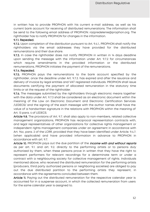in written has to provide PROPHON with his current e-mail address, as well as his current bank account for receiving of distributed remunerations. The information shall be send to the following email address of PROPHON: [razpredelenie@prophon.org.](mailto:razpredelenie@prophon.org) The rightholder has to notify PROPHON for changes in the information.

#### 9.7.1. Repealed.

9.7.2. Upon completion of the distribution pursuant to Art. 9.4.1., PROPHON shall notify the rightholders via the email addresses they have provided for the distributed remunerations and their due share.

9.7.3. In case the rightholder does not notify PROPHON in written in 14 days deadline upon sending the message with the information under Art. 9.7.2 for circumstances which require amendments in the provided information or the distributed remunerations, PROPHON initiates the payment of the remunerations.

#### 9.7.4. Repealed.

9.7.5. PROPHON pays the remunerations to the bank account specified by the rightholder, once the deadline under Art. 9.7.3. has expired and after the issuance and delivery of invoice by legal entities and VAT registered individuals. PROPHON shall issue documents certifying the payment of allocated remuneration in the statutory time limits or at the request of the rightholder.

9.7.6. The messages submitted by the rightholders through electronic means together with the data under Art. 9.7.3 shall be considered as an electronic document within the meaning of the Law on Electronic Document and Electronic Certification Services /LEDECS/ and the signing of the each message with the author names shall have the value of a handwritten signature in the relations with PROPHON within the meaning of Art. 13 para. 4 of LEDECS.

Article 9.8. The provisions of Art. 9.7. shall also apply to non-members, related collective management organizations, PROPHON has reciprocal representation contracts with, and legal representatives of other organizations for collective rights management or independent rights management companies under an agreement in accordance with Art. 94c, para. 2 of the LCRR, provided that they have been identified under Article. 9.4.7. (when applicable) and have provided information in advance to PROPHON in accordance with art. 9.7.

Article 10. PROPHON pays out the due partition of the *income with and without reports* as per art. 9.1. and art. 9.2. directly to the performing artists or to persons duly authorized by them, when these persons prove in written that they have the right to represent performers for relevant recordings for a determinate term or under a contract with a neighbouring society for collective management of rights. Individuals mentioned above, who received the distributed remuneration for the performing artists (producers, third party authorized persons or neighboring societies) are obliged to pay out the due distributed partition to the performing artists they represent, in accordance with the agreements concluded between them.

Article 11. Paying out the distributed remuneration for the respective calendar year is accounted for in a suspense account, in which the collected remuneration from users for the same calendar year is assigned to.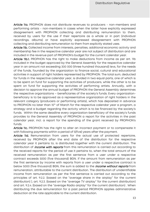Article 11a. PROPHON does not distribute revenues to producers - non-members and performing artists - non-members in cases when the latter have explicitly expressed disagreement with PROPHON collecting and distributing remuneration to them, received by users for the use if their repertoire as a whole or in part (individual recordings, albums) or have explicitly expressed disagreement with PROPHON collecting and distributing remuneration to them from explicitly stated uses.

Article 11b. Collected income from interests, penalties, additional economic activity and membership fee in the respective calendar year are not subject of distribution and are included in the revenue part of PROPHON's budget for the current calendar year.

Article 11b.1. PROPHON has the right to make deductions from income as per art. 11b included in the budget approved by the General Assembly for the respective calendar year in an amount not exceeding 300 000 (three hundred thousand) levs, for the needs of the funds, founded by the organization to finance social, cultural and educational activities in support of right holders represented by PROPHON. The total sum, deducted for funds in the respective calendar year, is divided in two equal parts, one of which is to be spent on fund for supporting the activities of producers, while the other is to be spent on fund for supporting the activities of performing artists. Annually, with a decision to approve the annual budget of PROPHON the General Assembly determines the respective organizations – beneficiaries of the society's funds. Every organizationbeneficiary is to be approved as a representative organization of right holders in the relevant category (producers or performing artists), which has deposited in advance to PROPHON no later than 15<sup>th</sup> of March for the respective calendar year a program, a strategy and a budget regarding the activity which is to be financed by the society's funds. Within the same deadline every organization-beneficiary of the society's funds provides to the General Assembly of PROPHON a report for the activities in the past calendar year, incl. a report for the spending of the grant received by PROPHON's funds.

Article 11c. PROPHON has the right to alter an incorrect payment or to compensate it with following payments within a period of 5(five) years after the payment.

Article 11d. Remuneration from users for the actual use of protected repertoire, received by PROPHON after the end date of the distribution for the respective calendar year it pertains to, is distributed together with the current distribution. The distribution of *income with reports* from this remuneration is carried out according to the received reports for the period of use it pertains to, when the total amount of the received remuneration as per the first sentence from a user under a respective contract exceeds 5000 (five thousand) BGN. If the amount from remuneration as per the first sentence by income with reports from a user under a respective contract is below 5000 (five thousand) BGN, the sum is added to the *income without reports* from remuneration, attributable to the current distribution. The distribution of unidentifiable income from remuneration as per the first sentence is carried out according to the principles of art. 9.2.2. (based on the "average share in the airplay" for the current distribution) ), art. 9.2.3. (based on the "average TV airplay" for the current distribution) and art. 9.2.4. (based on the "average Radio airplay" for the current distribution) . When distributing the due remuneration for a past period PROPHON applies administrative deduction at the rate applicable to the current distribution.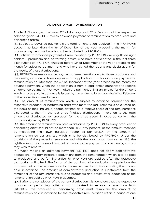#### ADVANCE PAYMENT OF REMUNERATION

Article 12. Once a year between 15<sup>th</sup> of January and 15<sup>th</sup> of February of the respective calendar year PROPHON makes advance payment of remuneration to producers and performing artists.

12.1. Subject to advance payment is the total remuneration received in the PROPHON's account no later than the 31st of December of the year preceding the month for advance payment, and which is to be distributed by PROPHON.

12.2. Entitled to advance payment of remuneration by PROPHON are only those right holders – producers and performing artists, who have participated in the last three distributions of PROPHON, finalized before 31st of December of the year preceding the month for advance payment and who have signed the reports and declarations for the results of these distributions.

12.3. PROPHON makes advance payment of remuneration only to those producers and performing artists who have deposited an application form for advance payment of remuneration no later than the 31<sup>st</sup> of December of the year preceding the month for advance payment. When the application is from a legal entity, authorized to receive an advance payment, PROPHON makes the payment only if an invoice for the amount which is to be paid in advance is issued by the entity no later than the  $14<sup>th</sup>$  of February of the respective calendar year.

12.4. The amount of remuneration which is subject to advance payment for the respective producer or performing artist who meet the requirements is calculated on the basis of their individual factor, defined as a relative share of the remunerations distributed to them in the last three finalized distributions in relation to the total amount of distributed remuneration for the three years, in accordance with the protocols signed by PROPHON.

12.5. The amount of remuneration paid in advance by PROPHON to every producer or performing artist should not be more than 50 % (fifty percent) of the amount received by multiplying their own individual factor as per art.12.4. by the amount of remuneration as per art. 12.1. which is to be distributed by PROPHON. Under the provisions of the preceding sentence and with the application form as per 12.3. the rightholder states the exact amount of the advance payment as a percentage which they wish to receive.

12.6. When making an advance payment PROPHON does not apply administrative deductions, The administrative deductions from the remuneration which is to be paid to producers and performing artists by PROPHON are applied after the respective distribution is finalized. The factor of the administrative deduction is applied on the total amount of due remuneration for the respective distribution including the amount paid in advance. The amount of administrative deduction is substracted from the remainder of the remunerations due to producers and artists after deduction of the remuneration paid by PROPHON in advance.

12.7. If after the completion of the current distribution it is found out that the respective producer or performing artist is not authorized to receive remuneration from PROPHON, the producer or performing artist must reimburse the amount of remuneration paid in advance for the respective remuneration within a period of one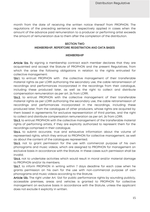month from the date of receiving the written notice thereof from PROPHON. The regulations of the preceding sentence are respectively applied in cases when the amount of the advance paid remuneration to a producer or performing artist exceeds the amount of remuneration due to them after the completion of the distribution.

#### SECTION TWO MEMBERSHIP, REPERTOIRE REGISTRATION AND DATA BASES

#### **MEMBERSHIP**

Article 12a. By signing a membership contract each member declares that they are acquainted and accept the Statute of PROPHON and the present Regulatives, from which the arise the following obligations in relation to the rights entrusted for collective management:

12a.1. to entrust PROPHON with the collective management of their transferable material rights as per LCRR authorizing the secondary use, the cable retransmission of recordings and performances incorporated in the recordings from their catalogue, including these produced later, as well as the right to collect and distribute compensation remuneration as per art. 26 from LCRR;

12a.2. to entrust PROPHON with the collective management of their transferable material rights as per LCRR authorizing the secondary use, the cable retransmission of recordings and performances incorporated in the recordings, including these produced later, from the catalogues of other producers, whose rights are acquired by them based in agreements for exclusive representation of third parties, and the right to collect and distribute compensation remuneration as per art. 26 from LCRR;

12a.3. to entrust PROPHON with the collective management of the transferable material rights of performing artists, if they are explicitly authorized to represent them for the recordings comprised in their catalogue;

12a.4. to submit accurate, true and exhaustive information about the volume of represented rights, which they entrust to PROPHON for collective management, as well as about the content of the catalogues represented;

12a.5. not to grant permission for the use with commercial purpose of his own phonograms and music videos, which are assigned to PROPHON for management on exclusive basis in accordance with the Statute. In these cases such permission shall be invalid;

12a.6. not to undertake activities which would result in moral and/or material damage to PROPHON and/or its members;

12a.7. to inform PROPHON in writing within 7 days deadline for each case when he grants permission on his own for the use with non-commercial purpose of own phonograms and music videos according to the Statute.

Article 12b. The right under Art. 12a1 for public performance rights by sounding publicly, accessible premises, areas and vehicles is granted to PROPHON for collective management on exclusive basis in accordance with the Statute, unless the applicant does not exclude it explicitly in written.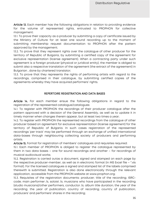Article 13. Each member has the following obligations in relation to providing evidence for the volume of represented rights, entrusted to PROPHON for collective management:

13.1. To prove their capacity as a producer by submitting a copy of certificate issued by the Ministry of Culture for at least one sound recording up to the moment of submitting membership request documentation to PROPHON after the pattern approved by the management;

13.2. To prove that they represent rights over the catalogue of other producer for the territory of Republic of Bulgaria, by submitting a certified copy of the agreement for exclusive representation (license agreement). When a contracting party under such agreement is a foreign producer (physical or juridical entity), the member is obliged to submit also a respective translation of the agreement (the extract of the agreement) in Bulgarian , done by chartered translator;

13.3. To prove that they represents the rights of performing artists with regard to the recordings, comprised in their catalogue, by submitting certified copies of the agreements whereby they have acquired performers' rights.

#### REPERTOIRE REGISTRATION AND DATA BASES

Article 14. For each member ensue the following obligations in regard to the registration of the represented catalogue/catalogues:

14.1. To register with PROPHON the recordings of their producer catalogue after the pattern approved with a decision of the General Assembly, as well as to update it in timely manner when changes therein appear, but at least two times a year;

14.2. To register with PROPHON the represented recordings from the catalogue of other producer based on agreement for exclusive representation (license agreement) for the territory of Republic of Bulgaria. In such cases registration of the represented recordings 'per track' may be performed through an exchange of unified international data-bases through neighbouring collecting society of producers and performing artists.

Article 15. Format for registration of members' catalogues and requisites required:

15.1. Each member of PROPHON is obliged to register the catalogue represented by them in two data bases – one for sound recordings and another – for recordings of musical audiovisual works;

15.2. Registration is carried outas a document, signed and stamped on each page by the respective producer-member, as well as in electronic format (in MS Excel file – \*.xls format). For the licensed catalogues a signed and stamped list of the labels comprised therewith is submitted. Registration is also done electronically through the relevant application, accessible from the PROPHON website at www.prophon.org;

15.3. Requisites of the registration documents: producer; title of the recording; ISRCcode; main performer /s, soloist /s; musicians who have participated in the recording (studio musicians)/other performers, conductor /s; album title duration; the year of the recording; the year of publication; country of recording; country of publication; producers' and performers' shares in the recording;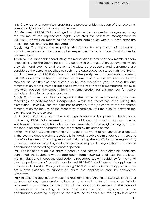15.3.1. (new) optional requisites, enabling the process of identification of the recording: composer; lyrics author, arranger, genre, etc.

15.4. Members of PROPHON are obliged to submit written notices for changes regarding the volume of the represented rights, entrusted for collective management to PROPHON, as well as regarding the registered catalogues within 14 days after the reason for such changes has occurred.

Article 15a. The regulations regarding the format for registration of catalogues, including requisites required, are applied respectively for registration of catalogues by non-members.

Article 16. The right holder conducting the registration (member or non-member) bears responsibility for the truthfulness of the content in the registration documents, which they sign and submit. Until proven otherwise, as producers and performers are considered the persons specified as such in the catalogues registered with PROPHON.

16.1. If a member of PROPHON has not paid the yearly fee for membership renewal, PROPHON deducts the fee for membership renewal from the due remuneration for this member as per the finalised distribution for the respective year. In case the due remuneration for this member does not cover the yearly fee for membership renewal, PROPHON deducts the amount from the remuneration for this member for future periods until the full amount is covered.

Article 17. In case that disputes regarding the holder of neighbouring rights over recordings or performances incorporated within the recordings arise during the distribution, PROPHON has the right not to carry out the payment of the distributed remuneration for the use of the respective recordings until the dispute between the claiming parties is resolved.

17.1. In cases of dispute over rights, each right holder who is a party in this dispute, is obliged by PROPHON's request to submit additional information and documents, which would have evidential value for their ownership of the neighbouring right over the recording and / or performances, registered by the same person

Article 17a. PROPHON shall have the right to defer payment of remuneration allocated, in the event a double claim procedure is initiated. Double claim under Art. 17. refers to a conflict between an existing registration (including the ex officio made registration) of performance or recording and a subsequent request for registration of the same performance or recording from another person.

17a.1. For initiating a double claim procedure, the person who claims his rights are concerned, shall submit a written application form. PROPHON shall examine the latter within 14 days and in case the application is not supported with evidence for the rights over the performance / recording as claimed, PROPHON shall instruct the applicant to provide such. If within 30 days of receiving PROPHON's instructions the applicant does not submit evidence to support his claim, the application shall be considered withdrawn.

17a.2. In case the application meets the requirements of Art. 17a.1., PROPHON shall defer payment of any remuneration allocated, and shall notify all concerned initially registered right holders for the claim of the applicant in respect of the relevant performance or recording. In case that with the initial registration of the performance/recording, subject of the claim, no evidence for the rights has been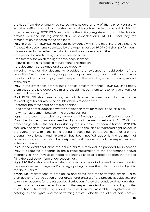provided from the originally registered right holders or any of them, PROPHON along with the notification shall instruct them to provide such within 30 day period. If within 30 days of receiving PROPHON's instructions the initially registered right holder fails to provide evidence, his registration shall be canceled and PROPHON shall pay the remuneration allocated to the applicant.

17a.3. In order for PROPHON to accept as evidence within the meaning of Art. 17a.1 and Art. 17a.2 the documents submitted by the arguing parties, PROPHON shall perform only a formal check of whether the following attributes are existent in them:

- the period for which the rights have been licensed;

- the territory for which the rights have been licensed;

- clauses containing specific requirements / restrictions;

- the documents are signed and dated properly,

including whether the documents provided are evidence of publication of the recordings/performances and/or appropriate payment and/or accounting documents of individualized basis for payment in respect of the recording or performance, subject of the claim.

17a.4. In the event that both arguing parties present evidence, PROPHON shall notify them that there is a double claim and should instruct them to resolve it voluntarily or take the dispute to court.

17a.5. PROPHON shall resume payment of deferred remuneration allocated to the relevant right holder when the double claim is resolved with:

- entered into force court or arbitral decision;

- one of the parties deposit a written notification form for relinquishing his claim;

- a written agreement between the arguing parties;

17a.6. In the event that within 6 /six/ months of receipt of the notification under Art. 17a.4., the double claim is not resolved by any of the means set out in Art. 17a.5, and proceedings before the court or arbitrary tribunal have not been initiated, PROPHON shall pay the deferred remuneration allocated to the initially registered right holder. In the event that within the same period proceedings before the court or arbitrary tribunal have begun and PROPHON has been notified about it, the payment of remuneration allocated shall be postponed until the decision of the respective body enters into force.

17a.7. In the event that once the double claim is resolved, as provided for in section 17a.5, it is required a change to the existing registration of the performance and/or recording in PROPHON to be made, the change shall take effect as from the date of filing the application form under section 17a.1.

17a.8. PROPHON shall not be entitled to defer payment of allocated remuneration for performances, recordings and/or category of rights over them, that are not subject to the double claim.

Article 17b. Registrations of catalogues and rights, and for performing artists – also their quality of participation under art.26.1 and art.26.2 of the present Regulatives, are taken into account for the respective distribution if they are conducted no later than three months before the end date of the respective distribution according to the distribution's timetable, approved by the General Assembly. Registrations of catalogues and rights, and for performing artists – also their quality of participation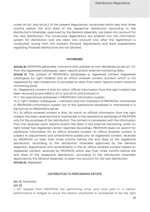under art.26.1 and art.26.2 of the present Regulatives, conducted within less than three months before the end date of the respective distribution according to the distribution's timetable, approved by the General Assembly, are taken into account for the next distribution. The conducted registrations are entered into the information system for distribution and are taken into account only after the registration is conducted, acting from this moment forward. Adjustments and data supplements regarding finalized distributions are not allowed.

#### DATABASES

Article 18. PROPHON generates, maintains and updates its own database as per art. 2.9. from the registered catalogues, users' reports and/or external monitoring data.

Article 19. The content of PROPHON's databases is: registered content (registered catalogues by right holders) and ex officio entered content (content which is not registered by right holders but is compiled by data from users' reports and/or external monitoring data)

19.1. Registered content is that for which official information from the right holders has been received as provided in art.14 and art.15 and is stored in:

19.1.1. the operational database in PROPHON's information system;

19.1.2. right holders' catalogues – members and non-members of PROPHON, maintained in PROPHON's information system out of the operational database or maintained in a file format on PROPHON's server.

19.2. Ex officio entered content is that, for which no official information from the right holders has been received and is maintained in the operational database of PROPHON only for the purposes of fair distribution. This content is completed with the information from the received users' reports and/or the data in the external monitoring, when no right holder has registered certain reported recordings. PROPHON does not search for additional information for ex officio entered content. Ex officio entered content is subject to adjustments and amendments based only on registered content, received by PROPHON no later than three months before the end date of the respective distribution, according to the distribution timetable approved by the General Assembly. Adjustments and amendments in the ex officio entered content based on registered content, received by PROPHON within less than three months before the end date of the respective distribution, according to the distribution timetable approved by the General Assembly, is taken into account for the next distribution. Article 20. Repealed.

#### DISTRIBUTION TO PERFORMING ARTISTS

Art. 21. Repealed.

#### Art. 22

1. On request from PROPHON the performing artist who took part in a certain performance is obliged to prove the reason whyhe/she is considered to be the right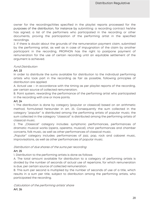owner for the recordings/titles specified in the playlist reports processed for the purposes of the distribution, for instance by submitting: a recording contract he/she has signed; a list of the performers who participated in the recording or other documents, proving the participation of the performing artist in the specified recordings.

2. If there is doubt about the grounds of the remuneration payment claim, submitted by the performing artist, as well as in case of impugnation of the claim by another participant in the recording, PROPHON has the right to postpone payment of remuneration for the use of certain recording until an equitable settlement of the argument is achieved.

#### Fund Distribution

## Art. 23

In order to distribute the sums available for distribution to the individual performing artists who took part in the recording as fair as possible, following principles of distribution are applied:

A. Actual use – in accordance with the timing as per playlist reports of the recording, per certain source of collected remuneration;

B. Point system, rewarding the performance of the performing artist who participated in the recording with one or more points.

#### Art. 24

1. The distribution is done by category (popular or classical) based on an arithmetic method, formulated hereunder in art. 25. Consequently the sum collected in the category "popular" is distributed among the performing artists of popular music; the sum collected in the category "classical" is distributed among the performing artists of classical music.

2. The "Classical" category includes: symphonic performances, performances of dramatic musical works (opera, operetta, musical), choir performances and chamber concerts, folk music, as well as other performances of classical music.

"Popular" category includes: performances of jazz, pop, rock and cabaret music, improvisations, as well as other performances of popular music.

Distribution of due shares of the sums per recording

## Art. 25

1. Distribution to the performing artists is done as follows:

A. The total amount available for distribution to a category of performing artists is divided by the number of seconds of actual use of repertoire, for which remuneration is due, per certain source of collected remuneration.

B. This sum per second is multiplied by the number of seconds of use of a title, which results in a sum per title, subject to distribution among the performing artists, who participated the recording.

Calculation of the performing artists' share Art. 26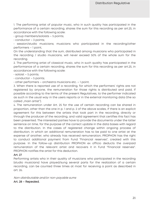1. The performing artist of popular music, who in such quality has participated in the performance of a certain recording, shares the sum for this recording as per art.25, in accordance with the following scale:

• group members/soloists – 5 points;

 $\cdot$  conductor – 3 points;

• session/studio musicians; musicians who participated in the recording/other performers – 1 point,

On the understanding that the sum, distributed among musicians who participated in the recording / studio musicians, will never exceed 50% of the whole sum for the recording.

2. The performing artist of classical music, who in such quality has participated in the performance of a certain recording, shares the sum for this recording as per art.25, in accordance with the following scale:

 $\cdot$  soloist – 5 points;

 $\cdot$  conductor – 5 points;

• other performers – orchestra musicians etc. – 1 point.

3. When there is reported use of a recording, for which the performers' rights are not registered by anyone, the remuneration for those rights is distributed and paid, if possible according to the terms of the present Regulatives, to the performer indicated as such in the usual way in the users reports or in the external monitoring data (the so called ..main artist").

4. The remuneration under Art. 25 for the use of certain recording can be shared in proportion, other than the one in p. 1 and p. 2 of the above scales, if there is an explicit agreement for this between the artists that took part in the recording, directly or through the producer of the recording, and valid agreement that certifies this fact has been presented. The interested parties have to provide the documents under the latter sentence on time, for the purpose of the correct update in the data bases with regard to the distribution. In the cases of registered change within ongoing process of distribution, in which an additional remuneration has to be paid to one artist at the expense of another, who already has received remuneration, PROPHON has the right to conduct additional payment from Fund "Financial reserves", created with this purpose. In the follow-up distribution PROPHON ex officio deducts the overpaid remuneration of the relevant artist and recovers it in Fund "Financial reserves". PROPHON notifies the artist for this deduction.

#### Art. 27

Performing artists who in their quality of musicians who participated in the recording (studio musicians) have played/sung several parts for the realization of a certain recording, can be counted three times at most for receiving a point as described in art. 26.

Non-distributable and/or non-payable sums Art. 28 – Repealed.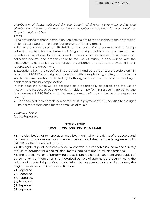Distribution of funds collected for the benefit of foreign performing artists and distribution of sums collected via foreign neighboring societies for the benefit of Bulgarian right holders

#### Art. 29

1. The provisions of these Distribution Regulatives are fully applicable to the distribution of funds collected for the benefit of foreign performing artists.

2. Remuneration received by PROPHON on the basis of a a contract with a foreign collecting society for the benefit of Bulgarian right holders for the use of their repertoire abroad, are distributed based on the information received from the relevant collecting society and proportionally to the use of music, in accordance with the distribution rules applied by the foreign organization and with the provisions in this regard, set in the agreement.

3. Exceptions from the specified in paragraph 1 and paragraph 2 are possible only in case that PROPHON has signed a contract with a neighboring society, according to which the remuneration collected by both organizations will be paid to local right holders as a mutual compensation.

In that case the funds will be assigned as proportionally as possible to the use of music in the respective country to right holders – performing artists in Bulgaria, who have entrusted PROPHON with the management of their rights in the respective country.

4. The specified in this article can never result in payment of remuneration to the right holder more than once for the same use of music.

## Other provisions

Art. 30. Repealed.

#### SECTION FOUR TRANSITIONAL AND FINAL PROVISIONS

§ 1. The distribution of remuneration may begin only when the rights of producers and performing artists are duly documented, proved, and their volume is registered with PROPHON after the unified pattern.

§ 2. The rights of producers are proved by contracts, certificates issued by the Ministry of Culture, payment bills and tax documents (copies of annual tax declarations).

§ 3. The representation of performing artists is proved by duly countersigned copies of agreements with them or original, notarized powers of attorney, thoroughly listing the volume of granted rights. When submitting the agreements as per first clause, the originals must be submitted for verification.

#### § 4. Repealed.

- § 5. Repealed.
- § 6. Repealed.
- § 7. Repealed.
- § 8. Repealed.
- § 9. Repealed.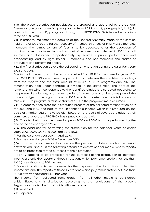§ 10. The present Distribution Regulatives are created and approved by the General Assembly pursuant to art.40, paragraph 6 from LCRR, art. 8, paragraph 1, b. b), in conjunction with art. 21, paragraph 1, b. g) from PROPHON's Statute and enters into force on 21.09.2004.

§ 11. In order to implement the decision of the General Assembly made at the session held on 13.01.2003 regarding the recovery of membership fees of PROPHON's founding members, the reimbursement of fees is to be deducted after the deduction of administrative costs from the total amount of remuneration collected in 2002 from all sources and distributed proportionately by source - public performance and broadcasting, and by right holder – members and non-members, the shares of producers and performing artists.

§ 12. The first distribution covers the collected remuneration during the calendar years 2002 and 2003.

Due to the imperfections of the reports received from BNR for the calendar years 2002 and 2003 PROPHON determines the percent ratio between the identified recordings from the reports and the total amount of music in BNR's programs annually. The remuneration paid under contract is divided in the same ratio. The part of the remuneration which corresponds to the identified airplay is distributed according to the present Regulatives, and the remainder of the remuneration becomes part of the annual budget of the organization for 2005. In order to determine the total amount of music in BNR's program, a relative share of 50 % in the program time is assumed.

§ 13. In order to accelerate the distribution process of the collected remuneration only for 2002 and 2003, the part of the unidentifiable income which is distributed on the basis of "market share" is to be distributed on the basis of "average airplay" by all commercial operators PROPHON has signed contracts with.

§ 14. The distribution for the calendar years 2004 and 2005 is to be performed by the end of the calendar year 2006.

§ 15. The deadlines for performing the distribution for the calendar years calendar years 2005, 2006, 2007 and 2008 are as follows:

А. For the calendar year 2007 – April 2010;

B. For the calendar year 2008 – December 2010.

§ 16. In order to optimize and accelerate the process of distribution for the period between 2005 and 2008 the following criteria are determined for media, whose reports are to be processed for the purposes of the distribution:

А. For TV stations: to be processed for the purposes of the distribution of identified income are only the reports of those TV stations which pay remuneration not less than 3000 (three thousand) BGN per year.

B. For radio stations : to be processed for the purposes of the distribution of identified income are only the reports of those TV stations which pay remuneration not less than 12 000 (twelve thousand) BGN per year.

The income from collected remuneration from all other media is considered unidentifiable and is distributed according to the regulations of the present Regulatives for distribution of unidentifiable income.

§ 17. Repealed.

§ 18. Repealed.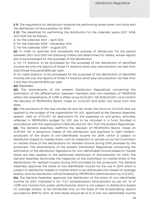§ 19. The regulations for distribution towards the performing artists enter into force with the distribution of remuneration for 2009.

§ 20. The deadlines for performing the distribution for the calendar years 2007, 2008, and 2009 are as follows::

А. For the calendar 2007 – April 2010;

B. For the calendar 2008 – December 2010;

C. For the calendar 2009 – August 2011.

§21. In order to optimize and accelerate the process of distribution for the period between 2007 and 2009 the following criteria are determined for media, whose reports are to be processed for the purposes of the distribution:

А. For TV stations: to be processed for the purposes of the distribution of identified income are only the reports of those TV stations which pay remuneration not less than 3000 (three thousand) BGN per year.

B. For radio stations: to be processed for the purposes of the distribution of identified income are only the reports of those TV stations which pay remuneration not less than 2 000 (two thousand) BGN per year.

§22. Repealed.

§23. The amendments of the present Distribution Regulatives concerning the elimination of the differentiation between members and non-members of PROPHON reflect the amendments of LCRR in effect since 25.03.2011 / SG 25/25.03.2011 / and confirm the decision of PROPHON's Board, made on 23.03.2011 and enter into force from that date.

§24. The provisions of the new articles 11b and 11b.1 enter into force on 01.01.2011 and are applied to the budget of the organization for 2011, approved at the General Assembly session, held on 27.04.2011. All deductions for the expenses on anti-piracy activities, reflected in PROPHON's budget for 2011, are to be included in a fund, founded in accordance with the organisation's Statute and art. 11b.1. from the present Regulatives.

§25. The General Assembly reaffirms the decision of PROPHON's Board, made on 14.09.2011, for a temporary freeze of the distribution and payment to right holders– producers of the share of non-identifiable income for 2009, which is subject to distribution based on market share, until an inspection is carried out by the Commision on market share of the declarations for realized income during 2009 provided by the producers. The amendments of the present Distribution Regulatives concerning the elimination of the distribution regulations for non-identifiable income based on market share are also applied to the performed distribution of remuneration for 2009. The General Assembly terminates the inspection of the Commision on market share of the declarations for realized income during 2009 provided by the producers. The General Assembly approves the share of non-identifiable income for the use in 2009 which is subject to distribution based on market share to be distributed only based on average airplay, and the distribution will be finalized by PROPHON's administration by 31.01.2012.

§26. The General Assembly approves the distribution of the share of non-identifiable income for 2010, indicated in art. 9.2.3. (compensation remuneration as per art. 26 of LCRR and income from public performance), which is not subject to distribution based on average airplay, to be distributed only on the basis of the broadcasting reports provided by BNR for 2010, as that share should be 30 % of the non-identifiable income